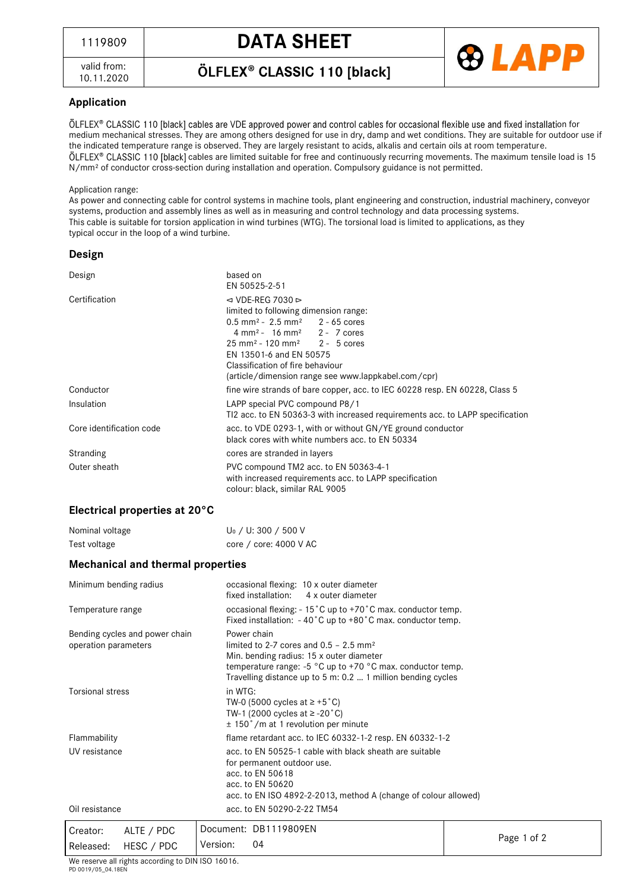valid from: 10.11.2020 ÖLFLEX® CLASSIC 110 [black]



## **Application**

ÖLFLEX® CLASSIC 110 [black] cables are VDE approved power and control cables for occasional flexible use and fixed installation for medium mechanical stresses. They are among others designed for use in dry, damp and wet conditions. They are suitable for outdoor use if the indicated temperature range is observed. They are largely resistant to acids, alkalis and certain oils at room temperature. ÖLFLEX® CLASSIC 110 [black] cables are limited suitable for free and continuously recurring movements. The maximum tensile load is 15 N/mm² of conductor cross-section during installation and operation. Compulsory guidance is not permitted.

#### Application range:

As power and connecting cable for control systems in machine tools, plant engineering and construction, industrial machinery, conveyor systems, production and assembly lines as well as in measuring and control technology and data processing systems. This cable is suitable for torsion application in wind turbines (WTG). The torsional load is limited to applications, as they typical occur in the loop of a wind turbine.

#### **Design**

| Design                   | based on<br>EN 50525-2-51                                                                                                                                                                                                                                                                                                                                          |  |  |
|--------------------------|--------------------------------------------------------------------------------------------------------------------------------------------------------------------------------------------------------------------------------------------------------------------------------------------------------------------------------------------------------------------|--|--|
| Certification            | $\triangleleft$ VDE-REG 7030 ⊳<br>limited to following dimension range:<br>$0.5$ mm <sup>2</sup> - 2.5 mm <sup>2</sup> 2 - 65 cores<br>$4 \text{ mm}^2$ - 16 mm <sup>2</sup> 2 - 7 cores<br>$25 \text{ mm}^2 - 120 \text{ mm}^2$ 2 - 5 cores<br>EN 13501-6 and EN 50575<br>Classification of fire behaviour<br>(article/dimension range see www.lappkabel.com/cpr) |  |  |
| Conductor                | fine wire strands of bare copper, acc. to IEC 60228 resp. EN 60228, Class 5                                                                                                                                                                                                                                                                                        |  |  |
| Insulation               | LAPP special PVC compound P8/1<br>TI2 acc. to EN 50363-3 with increased requirements acc. to LAPP specification                                                                                                                                                                                                                                                    |  |  |
| Core identification code | acc. to VDE 0293-1, with or without GN/YE ground conductor<br>black cores with white numbers acc. to EN 50334                                                                                                                                                                                                                                                      |  |  |
| Stranding                | cores are stranded in layers                                                                                                                                                                                                                                                                                                                                       |  |  |
| Outer sheath             | PVC compound TM2 acc. to EN 50363-4-1<br>with increased requirements acc. to LAPP specification<br>colour: black, similar RAL 9005                                                                                                                                                                                                                                 |  |  |

### **Electrical properties at 20°C**

| Nominal voltage | U <sub>0</sub> / U: 300 / 500 V |
|-----------------|---------------------------------|
| Test voltage    | core / core: 4000 V AC          |

### **Mechanical and thermal properties**

| Minimum bending radius                                 | occasional flexing: 10 x outer diameter<br>fixed installation: 4 x outer diameter                                                                                                                                                                 |                                                                 |  |  |  |  |
|--------------------------------------------------------|---------------------------------------------------------------------------------------------------------------------------------------------------------------------------------------------------------------------------------------------------|-----------------------------------------------------------------|--|--|--|--|
| Temperature range                                      | occasional flexing: $-15^{\circ}$ C up to $+70^{\circ}$ C max. conductor temp.<br>Fixed installation: $-40^{\circ}$ C up to $+80^{\circ}$ C max. conductor temp.                                                                                  |                                                                 |  |  |  |  |
| Bending cycles and power chain<br>operation parameters | Power chain<br>limited to 2-7 cores and $0.5 - 2.5$ mm <sup>2</sup><br>Min. bending radius: 15 x outer diameter<br>temperature range: $-5$ °C up to $+70$ °C max. conductor temp.<br>Travelling distance up to 5 m: 0.2  1 million bending cycles |                                                                 |  |  |  |  |
| <b>Torsional stress</b>                                | in WTG:<br>TW-0 (5000 cycles at $\ge$ +5 °C)<br>TW-1 (2000 cycles at $\ge$ -20 °C)<br>$\pm$ 150°/m at 1 revolution per minute                                                                                                                     |                                                                 |  |  |  |  |
| Flammability                                           |                                                                                                                                                                                                                                                   | flame retardant acc. to IEC 60332-1-2 resp. EN 60332-1-2        |  |  |  |  |
| UV resistance                                          | acc. to EN 50525-1 cable with black sheath are suitable<br>for permanent outdoor use.<br>acc. to EN 50618<br>acc. to EN 50620                                                                                                                     | acc. to EN ISO 4892-2-2013, method A (change of colour allowed) |  |  |  |  |
| Oil resistance                                         | acc. to EN 50290-2-22 TM54                                                                                                                                                                                                                        |                                                                 |  |  |  |  |
| ALTE / PDC<br>Creator:                                 | Document: DB1119809EN                                                                                                                                                                                                                             |                                                                 |  |  |  |  |
| HESC / PDC<br>Released:                                | Version:<br>04                                                                                                                                                                                                                                    | Page 1 of 2                                                     |  |  |  |  |